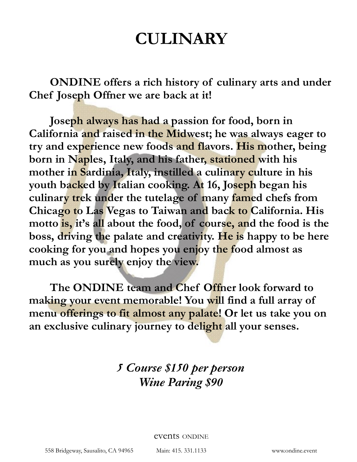# **CULINARY**

 **ONDINE offers a rich history of culinary arts and under Chef Joseph Offner we are back at it!** 

 **Joseph always has had a passion for food, born in California and raised in the Midwest; he was always eager to try and experience new foods and flavors. His mother, being born in Naples, Italy, and his father, stationed with his mother in Sardinia, Italy, instilled a culinary culture in his youth backed by Italian cooking. At 16, Joseph began his culinary trek under the tutelage of many famed chefs from Chicago to Las Vegas to Taiwan and back to California. His motto is, it's all about the food, of course, and the food is the boss, driving the palate and creativity. He is happy to be here cooking for you and hopes you enjoy the food almost as much as you surely enjoy the view.** 

 **The ONDINE team and Chef Offner look forward to making your event memorable! You will find a full array of menu offerings to fit almost any palate! Or let us take you on an exclusive culinary journey to delight all your senses.** 

> *5 Course \$150 per person Wine Paring \$90*

> > events ONDINE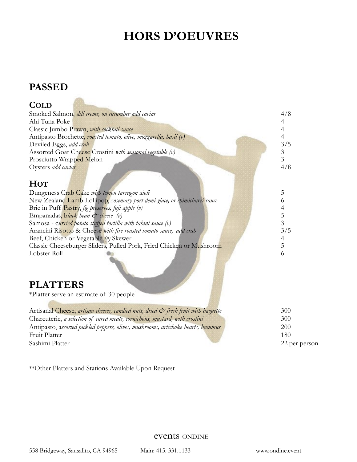# **HORS D'OEUVRES**

### **PASSED**

**Alla** 

| <b>COLD</b>                                                                                      |                |
|--------------------------------------------------------------------------------------------------|----------------|
| Smoked Salmon, dill creme, on cucumber add caviar                                                | 4/8            |
| Ahi Tuna Poke                                                                                    | 4              |
| Classic Jumbo Prawn, with cocktail sauce                                                         | 4              |
| Antipasto Brochette, roasted tomato, olive, mozzarella, basil (v)                                | $\overline{4}$ |
| Deviled Eggs, add crab                                                                           | 3/5            |
| Assorted Goat Cheese Crostini with seasonal vegetable (v)                                        | $\mathfrak{Z}$ |
| Prosciutto Wrapped Melon                                                                         | 3              |
| Oysters add caviar                                                                               | 4/8            |
|                                                                                                  |                |
| <b>HOT</b>                                                                                       |                |
| Dungeness Crab Cake with lemon tarragon aioli                                                    | 5              |
| New Zealand Lamb Lollipop, rosemary port demi-glace, or chimichurri sauce                        | 6              |
| Brie in Puff Pastry, fig preserves, fuji apple (v)                                               | 4              |
| Empanadas, black bean & cheese (v)                                                               | 5              |
| Samosa - curried potato stuffed tortilla with tahini sauce (v)                                   | $\overline{3}$ |
| Arancini Risotto & Cheese with fire roasted tomato sauce, add crab                               | 3/5            |
| Beef, Chicken or Vegetable (v) Skewer                                                            | 4              |
| Classic Cheeseburger Sliders, Pulled Pork, Fried Chicken or Mushroom                             | 5              |
| Lobster Roll                                                                                     | 6              |
| <b>PLATTERS</b>                                                                                  |                |
| *Platter serve an estimate of 30 people                                                          |                |
|                                                                                                  |                |
| Artisanal Cheese, artisan cheeses, candied nuts, dried $\mathcal{C}^*$ fresh fruit with baguette | 300            |
| Charcuterie, a selection of cured meats, cornichons, mustard, with crostini                      | 300            |
| Antipasto, assorted pickled peppers, olives, mushrooms, artichoke hearts, hummus                 | 200            |
| Fruit Platter                                                                                    | 180            |
| Sashimi Platter                                                                                  | 22 per person  |

\*\*Other Platters and Stations Available Upon Request

events ONDINE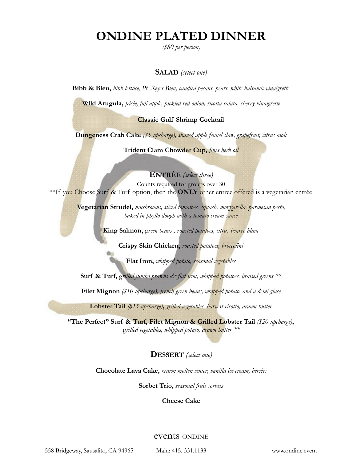# **ONDINE PLATED DINNER**

*(\$80 per person)* 

#### **SALAD** *(select one)*

**Bibb & Bleu,** *bibb lettuce, Pt. Reyes Bleu, candied pecans, pears, white balsamic vinaigrette*

**Wild Arugula,** *frisée, fuji apple, pickled red onion, ricotta salata, sherry vinaigrette*

#### **Classic Gulf Shrimp Cocktail**

**Dungeness Crab Cake** *(\$5 upcharge), shaved apple fennel slaw, grapefruit, citrus aioli*

**Trident Clam Chowder Cup,** *fines herb oil*

**ENTRÉE** *(select three)*  Counts required for groups over 30 \*\*If you Choose Surf & Turf option, then the **ONLY** other entrée offered is a vegetarian entrée

> **Vegetarian Strudel,** *mushrooms, sliced tomatoes, squash, mozzarella, parmesan pesto, baked in phyllo dough with a tomato cream sauce*

> > **King Salmon,** g*reen beans , roasted potatoes, citrus beurre blanc*

**Crispy Skin Chicken,** *roasted potatoes, broccolini*

**Flat Iron,** *whipped potato, seasonal vegetables* 

**Surf & Turf,** grilled jumbo prawns  $\mathcal{O}$  flat iron, whipped potatoes, braised greens \*\*

**Filet Mignon** *(\$10 upcharge), french green beans, whipped potato, and a demi-glace* 

**Lobster Tail** *(\$15 upcharge)***,** *grilled vegetables, harvest risotto, drawn butter* 

**"The Perfect" Surf & Turf, Filet Mignon & Grilled Lobster Tail** *(\$20 upcharge)***,**  g*rilled vegetables, whipped potato, drawn butter \*\** 

**DESSERT** *(select one)*

**Chocolate Lava Cake,** w*arm molten center, vanilla ice cream, berries*

**Sorbet Trio,** *seasonal fruit sorbets*

**Cheese Cake** 

#### events ONDINE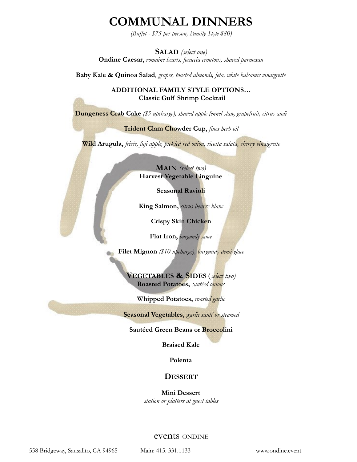## **COMMUNAL DINNERS**

*(Buffet - \$75 per person, Family Style \$80)* 

**SALAD** *(select one)* **Ondine Caesar,** *romaine hearts, focaccia croutons, shaved parmesan* 

**Baby Kale & Quinoa Salad**, *grapes, toasted almonds, feta, white balsamic vinaigrette*

**ADDITIONAL FAMILY STYLE OPTIONS… Classic Gulf Shrimp Cocktail**

**Dungeness Crab Cake** *(\$5 upcharge), shaved apple fennel slaw, grapefruit, citrus aioli*

**Trident Clam Chowder Cup,** *fines herb oil* 

**Wild Arugula,** *frisée, fuji apple, pickled red onion, ricotta salata, sherry vinaigrette* 

**MAIN** *(select two)* **Harvest Vegetable Linguine** 

**Seasonal Ravioli** 

**King Salmon,** *citrus beurre blanc*

**Crispy Skin Chicken** 

**Flat Iron,** *burgundy sauce* 

**Filet Mignon** *(\$10 upcharge), burgundy demi-glace*

**VEGETABLES & SIDES** (*select two)* **Roasted Potatoes,** *sautéed onions*

**Whipped Potatoes,** *roasted garlic*

**Seasonal Vegetables,** g*arlic sauté or steamed* 

**Sautéed Green Beans or Broccolini** 

**Braised Kale** 

**Polenta** 

#### **DESSERT**

**Mini Dessert**  *station or platters at guest tables* 

events ONDINE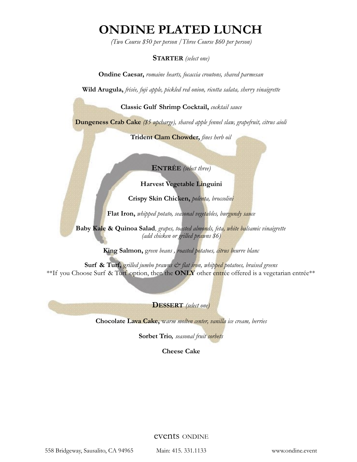# **ONDINE PLATED LUNCH**

*(Two Course \$50 per person /Three Course \$60 per person)*

#### **STARTER** *(select one)*

**Ondine Caesar,** *romaine hearts, focaccia croutons, shaved parmesan*

**Wild Arugula,** *frisée, fuji apple, pickled red onion, ricotta salata, sherry vinaigrette*

**Classic Gulf Shrimp Cocktail,** *cocktail sauce* 

**Dungeness Crab Cake** *(\$5 upcharge), shaved apple fennel slaw, grapefruit, citrus aioli*

**Trident Clam Chowder,** *fines herb oil*

**ENTRÉE** *(select three)* 

#### **Harvest Vegetable Linguini**

**Crispy Skin Chicken,** *polenta, broccolini*

**Flat Iron,** *whipped potato, seasonal vegetables, burgundy sauce*

**Baby Kale & Quinoa Salad**, *grapes, toasted almonds, feta, white balsamic vinaigrette (add chicken or grilled prawns \$6)*

**King Salmon,** g*reen beans , roasted potatoes, citrus beurre blanc* 

Surf & Turf, grilled jumbo prawns  $\mathcal{O}$  flat iron, whipped potatoes, braised greens \*\*If you Choose Surf & Turf option, then the **ONLY** other entrée offered is a vegetarian entrée\*\*

**DESSERT** *(select one)* 

**Chocolate Lava Cake,** w*arm molten center, vanilla ice cream, berries*

**Sorbet Trio***, seasonal fruit sorbets*

**Cheese Cake** 

events ONDINE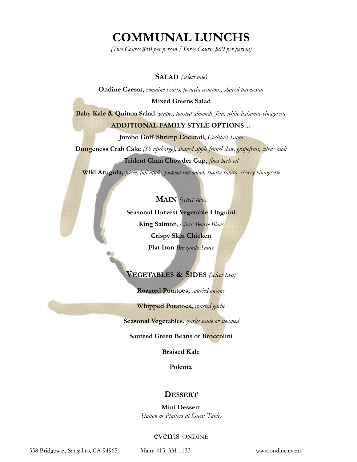# **COMMUNAL LUNCHS**

*(Two Course \$50 per person /Three Course \$60 per person)* 

#### **SALAD** *(select one)*

**Ondine Caesar,** *romaine hearts, focaccia croutons, shaved parmesan*

#### **Mixed Greens Salad**

**Baby Kale & Quinoa Salad**, *grapes, toasted almonds, feta, white balsamic vinaigrette*

#### **ADDITIONAL FAMILY STYLE OPTIONS…**

**Jumbo Gulf Shrimp Cocktail,** *Cocktail Sauce* 

**Dungeness Crab Cake** *(\$5 upcharge), shaved apple fennel slaw, grapefruit, citrus aioli*

#### **Trident Clam Chowder Cup,** *fines herb oil*

**Wild Arugula,** *frisée, fuji apple, pickled red onion, ricotta salata, sherry vinaigrette* 

#### **MAIN** *(select two)*

**Seasonal Harvest Vegetable Linguini King Salmon***, Citrus Beurre Blanc* **Crispy Skin Chicken Flat Iron** *Burgundy Sauce*

#### **VEGETABLES & SIDES** *(select two)*

**Roasted Potatoes,** *sautéed onions*

**Whipped Potatoes,** *roasted garlic*

**Seasonal Vegetables,** g*arlic sauté or steamed* 

#### **Sautéed Green Beans or Broccolini**

**Braised Kale** 

**Polenta** 

#### **DESSERT**

**Mini Dessert**  *Station or Platters at Guest Tables* 

#### events ONDINE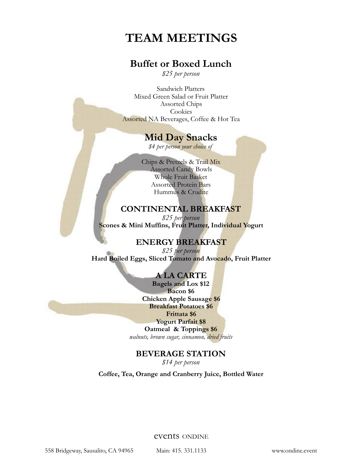# **TEAM MEETINGS**

### **Buffet or Boxed Lunch**

*\$25 per person* 

Sandwich Platters Mixed Green Salad or Fruit Platter Assorted Chips Cookies Assorted NA Beverages, Coffee & Hot Tea

### **Mid Day Snacks**

*\$4 per person your choice of* 

Chips & Pretzels & Trail Mix Assorted Candy Bowls Whole Fruit Basket Assorted Protein Bars Hummus & Crudite

### **CONTINENTAL BREAKFAST**

*\$25 per person* **Scones & Mini Muffins, Fruit Platter, Individual Yogurt** 

### **ENERGY BREAKFAST**

*\$25 per person* Hard Boiled Eggs, Sliced Tomato and Avocado, Fruit Platter

#### **A LA CARTE**

**Bagels and Lox \$12 Bacon \$6 Chicken Apple Sausage \$6 Breakfast Potatoes \$6 Frittata \$6 Yogurt Parfait \$8 Oatmeal & Toppings \$6** 

*walnuts, brown sugar, cinnamon, dried fruits*

### **BEVERAGE STATION**

*\$14 per person* 

**Coffee, Tea, Orange and Cranberry Juice, Bottled Water** 

events ONDINE